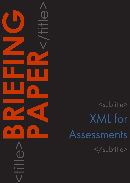<subtitle> XML for Assessments </subtitle>

<title>**BRIEFING**

**PAPER**<br>CONSTRAINS

 $\blacktriangleleft$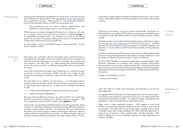**Content Models** 

#### CAPDM Ltd. CAPDM Ltd.

Introduction Producing XML standards for assessments is not easy work, as anyone who has been following the development of the [IMS Question & Test Interoperability](http://www.imsglobal.org/question/)  [\(QTI\)](http://www.imsglobal.org/question/) specification [will know.](http://en.wikipedia.org/wiki/QTI) When the QTI 2.1 was temporarily withdrawn from the IMS standards web site in 2009, the reason given was:

> "[the specification] did not achieve sufficient implementation and feedback to warrant being voted on as a final specification."

While some were no doubt dismayed by this about turn, to others this will come as no surprise. We do not use QTI (of any version) at CAPDM except as an intermediate exchange format. For example we use QTI as the starting point in the conversion of questions marked up for tools such as Questionmark OnDemand to final formats such as Moodle XML.

But QTI is XML in action, and CAPDM bangs on about using XML. So why doesn't CAPDM use QTI?

We stuck with our own UQF for one main reason – it is particularly suited to actually marking up questions, and its semantic richness is particularly suited to our strict single source master policy. So there are two immediate advantages to UQF:

- Single source advantages for long term maintenance and reuse.
- • Assessment engine independence.

There are other big differences between, say, QTI and UQF. Few would claim that QTI is particularly suited for use in actually marking up questions. UQF wins outright here, however UQF is certainly not as **generic** as QTI.

One reason we could offer is that we have been using a particular mark-up long before QTI came about. That's not to say that what we use is outdated: we have evolved this over the years to account for new needs, new structures and new semantics. We call it UQF – or, rather grandly, the Universal Question Format. The only excuse that I can offer for this grand title is that we had to think of a name.

Since UQF started there have been many formats that we could have chosen to use, but our clients use Perception, WebCT, Moodle and a number of other learning and assessment environments. Should we have chosen QML, QTI, or what?

However this very generalness of QTI translates to something more than 'being awkward for authoring', specifically that it becomes quite difficult to enforce a consistent marking scheme and style. This is because QTI says nothing about the format of the actual question content, and because it allows for arbitrary marking schemes to be specified per question. It is difficult enough to get most education authors to think about questions other than multiple choice, it is hard

When used in custom assessment engines - UQF suggests a much more efficient and streamlined database infrastructure than is used in most learning environments. This means that we can render page of questions of a variety of question types with a single database call. This is extremely efficient for a page of say, 10 questions, when compared with a Moodle equivalent. With technical efficiencies, such as database pooling, this helps implementers to achieve scalability.

**Implementa**tions

to get them to create questions that span the Bloomian taxonomy, and it would be near impossible to get them to think about highly varied rubrics and marking schemes.

UQF does not stand alone. It is part of a wider content model. We tend to use XML DocBook as our preferred DTD/Schema and we have extended the base DocBook to include UQF (and for UQF to include DocBook as its basic content model).

DocBook provides a vast number of semantic element tags, and though its origins are as a [semantic](http://en.wikipedia.org/wiki/Semantics) [mark-up language](http://en.wikipedia.org/wiki/Markup_language) for technical [documentation](http://en.wikipedia.org/wiki/Documentation) - originally intended for writing technical documents related to computer hardware and software – it can be used for any other sort of documentation, including learning materials.

Formative assessments benefit from being richer content, as this facilitates better tuning of answers to the assessment context, better recording of behaviours, and the capture of reflective inputs (to be held as a body of evidence).

DocBook XML's flexibility can also be of great help in encoding higher order Bloomian assessments for syntheses and analysis, perhaps incorporating learning objects such as custom applet and object API. One thing that thinking about having a powerful content model is that this begins to free the programme developers from the abrupt simplicity of the MCQ. Content becomes much fitter for purpose.

Another advantage then for UQF is:

• Richer content models

UQF, QTI, QML etc. merely mark information and materials up, but how do they implement?

As suggested above UQF enjoys an independence from any assessment engine. For this reason we achieve our conversions of QTI (e.g. as an export format from Perception) by taking it first to UQF – for long term storage, management and exploitation – then to Moodle XML (or other final formats).

## UQF not QTI